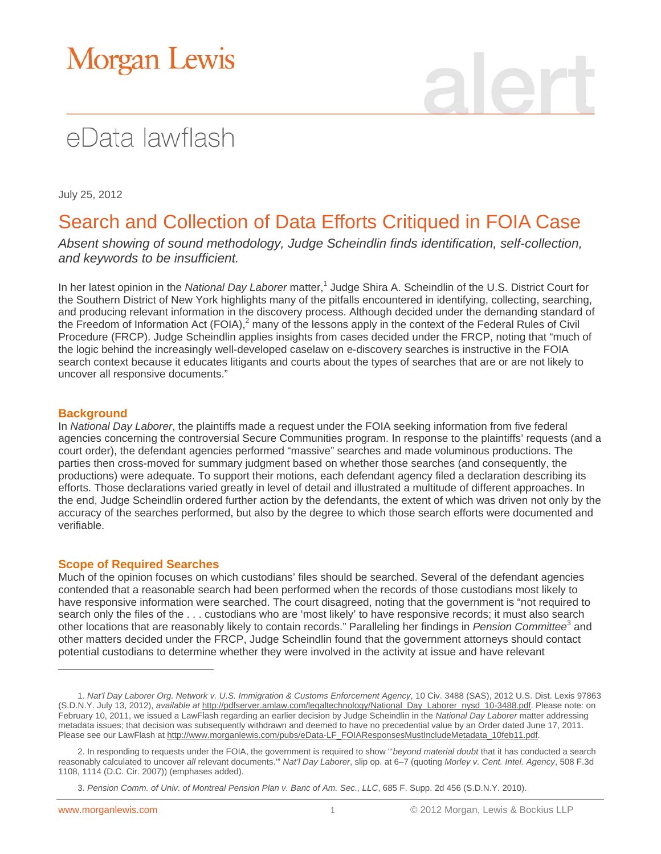# **Morgan Lewis**

## eData lawflash

July 25, 2012

### Search and Collection of Data Efforts Critiqued in FOIA Case

*Absent showing of sound methodology, Judge Scheindlin finds identification, self-collection, and keywords to be insufficient.*

In her latest opinion in the *National Day Laborer* matter,<sup>1</sup> Judge Shira A. Scheindlin of the U.S. District Court for the Southern District of New York highlights many of the pitfalls encountered in identifying, collecting, searching, and producing relevant information in the discovery process. Although decided under the demanding standard of the Freedom of Information Act (FOIA), $^2$  many of the lessons apply in the context of the Federal Rules of Civil Procedure (FRCP). Judge Scheindlin applies insights from cases decided under the FRCP, noting that "much of the logic behind the increasingly well-developed caselaw on e-discovery searches is instructive in the FOIA search context because it educates litigants and courts about the types of searches that are or are not likely to uncover all responsive documents."

#### **Background**

In *National Day Laborer*, the plaintiffs made a request under the FOIA seeking information from five federal agencies concerning the controversial Secure Communities program. In response to the plaintiffs' requests (and a court order), the defendant agencies performed "massive" searches and made voluminous productions. The parties then cross-moved for summary judgment based on whether those searches (and consequently, the productions) were adequate. To support their motions, each defendant agency filed a declaration describing its efforts. Those declarations varied greatly in level of detail and illustrated a multitude of different approaches. In the end, Judge Scheindlin ordered further action by the defendants, the extent of which was driven not only by the accuracy of the searches performed, but also by the degree to which those search efforts were documented and verifiable.

#### **Scope of Required Searches**

Much of the opinion focuses on which custodians' files should be searched. Several of the defendant agencies contended that a reasonable search had been performed when the records of those custodians most likely to have responsive information were searched. The court disagreed, noting that the government is "not required to search only the files of the . . . custodians who are 'most likely' to have responsive records; it must also search other locations that are reasonably likely to contain records." Paralleling her findings in *Pension Committee*<sup>3</sup> and other matters decided under the FRCP, Judge Scheindlin found that the government attorneys should contact potential custodians to determine whether they were involved in the activity at issue and have relevant

 $\overline{a}$ 

<sup>1.</sup> *Nat'l Day Laborer Org. Network v. U.S. Immigration & Customs Enforcement Agency*, 10 Civ. 3488 (SAS), 2012 U.S. Dist. Lexis 97863 (S.D.N.Y. July 13, 2012), *available at* http://pdfserver.amlaw.com/legaltechnology/National\_Day\_Laborer\_nysd\_10-3488.pdf. Please note: on February 10, 2011, we issued a LawFlash regarding an earlier decision by Judge Scheindlin in the *National Day Laborer* matter addressing metadata issues; that decision was subsequently withdrawn and deemed to have no precedential value by an Order dated June 17, 2011. Please see our LawFlash at http://www.morganlewis.com/pubs/eData-LF\_FOIAResponsesMustIncludeMetadata\_10feb11.pdf.

<sup>2.</sup> In responding to requests under the FOIA, the government is required to show "'*beyond material doubt* that it has conducted a search reasonably calculated to uncover *all* relevant documents.'" *Nat'l Day Laborer*, slip op. at 6–7 (quoting *Morley v. Cent. Intel. Agency*, 508 F.3d 1108, 1114 (D.C. Cir. 2007)) (emphases added).

<sup>3.</sup> *Pension Comm. of Univ. of Montreal Pension Plan v. Banc of Am. Sec., LLC*, 685 F. Supp. 2d 456 (S.D.N.Y. 2010).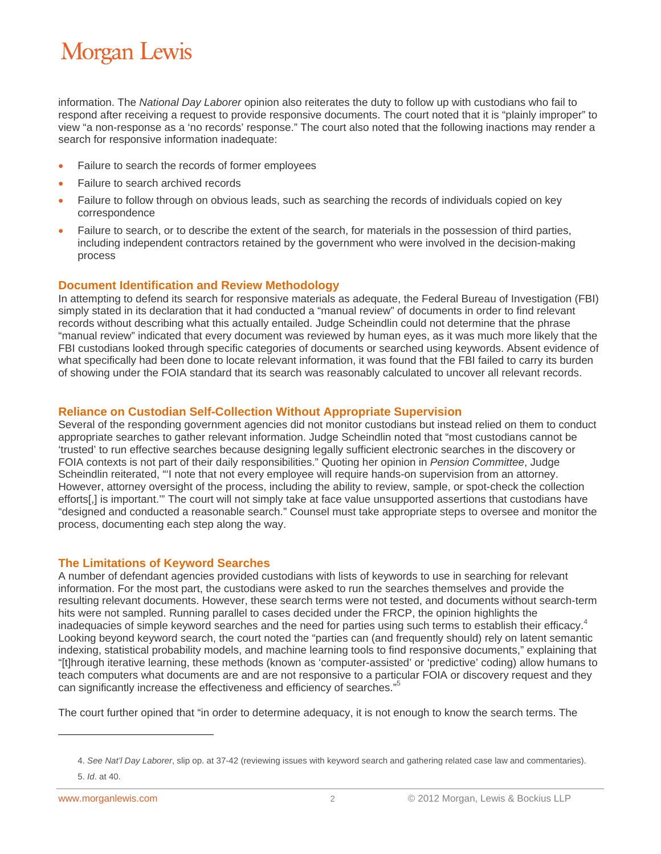### **Morgan Lewis**

information. The *National Day Laborer* opinion also reiterates the duty to follow up with custodians who fail to respond after receiving a request to provide responsive documents. The court noted that it is "plainly improper" to view "a non-response as a 'no records' response." The court also noted that the following inactions may render a search for responsive information inadequate:

- Failure to search the records of former employees
- Failure to search archived records
- Failure to follow through on obvious leads, such as searching the records of individuals copied on key correspondence
- Failure to search, or to describe the extent of the search, for materials in the possession of third parties, including independent contractors retained by the government who were involved in the decision-making process

#### **Document Identification and Review Methodology**

In attempting to defend its search for responsive materials as adequate, the Federal Bureau of Investigation (FBI) simply stated in its declaration that it had conducted a "manual review" of documents in order to find relevant records without describing what this actually entailed. Judge Scheindlin could not determine that the phrase "manual review" indicated that every document was reviewed by human eyes, as it was much more likely that the FBI custodians looked through specific categories of documents or searched using keywords. Absent evidence of what specifically had been done to locate relevant information, it was found that the FBI failed to carry its burden of showing under the FOIA standard that its search was reasonably calculated to uncover all relevant records.

#### **Reliance on Custodian Self-Collection Without Appropriate Supervision**

Several of the responding government agencies did not monitor custodians but instead relied on them to conduct appropriate searches to gather relevant information. Judge Scheindlin noted that "most custodians cannot be 'trusted' to run effective searches because designing legally sufficient electronic searches in the discovery or FOIA contexts is not part of their daily responsibilities." Quoting her opinion in *Pension Committee*, Judge Scheindlin reiterated, "'I note that not every employee will require hands-on supervision from an attorney. However, attorney oversight of the process, including the ability to review, sample, or spot-check the collection efforts[,] is important.'" The court will not simply take at face value unsupported assertions that custodians have "designed and conducted a reasonable search." Counsel must take appropriate steps to oversee and monitor the process, documenting each step along the way.

#### **The Limitations of Keyword Searches**

A number of defendant agencies provided custodians with lists of keywords to use in searching for relevant information. For the most part, the custodians were asked to run the searches themselves and provide the resulting relevant documents. However, these search terms were not tested, and documents without search-term hits were not sampled. Running parallel to cases decided under the FRCP, the opinion highlights the inadequacies of simple keyword searches and the need for parties using such terms to establish their efficacy.<sup>4</sup> Looking beyond keyword search, the court noted the "parties can (and frequently should) rely on latent semantic indexing, statistical probability models, and machine learning tools to find responsive documents," explaining that "[t]hrough iterative learning, these methods (known as 'computer-assisted' or 'predictive' coding) allow humans to teach computers what documents are and are not responsive to a particular FOIA or discovery request and they can significantly increase the effectiveness and efficiency of searches."5

The court further opined that "in order to determine adequacy, it is not enough to know the search terms. The

 $\overline{a}$ 

<sup>4.</sup> *See Nat'l Day Laborer*, slip op. at 37-42 (reviewing issues with keyword search and gathering related case law and commentaries).

<sup>5.</sup> *Id*. at 40.